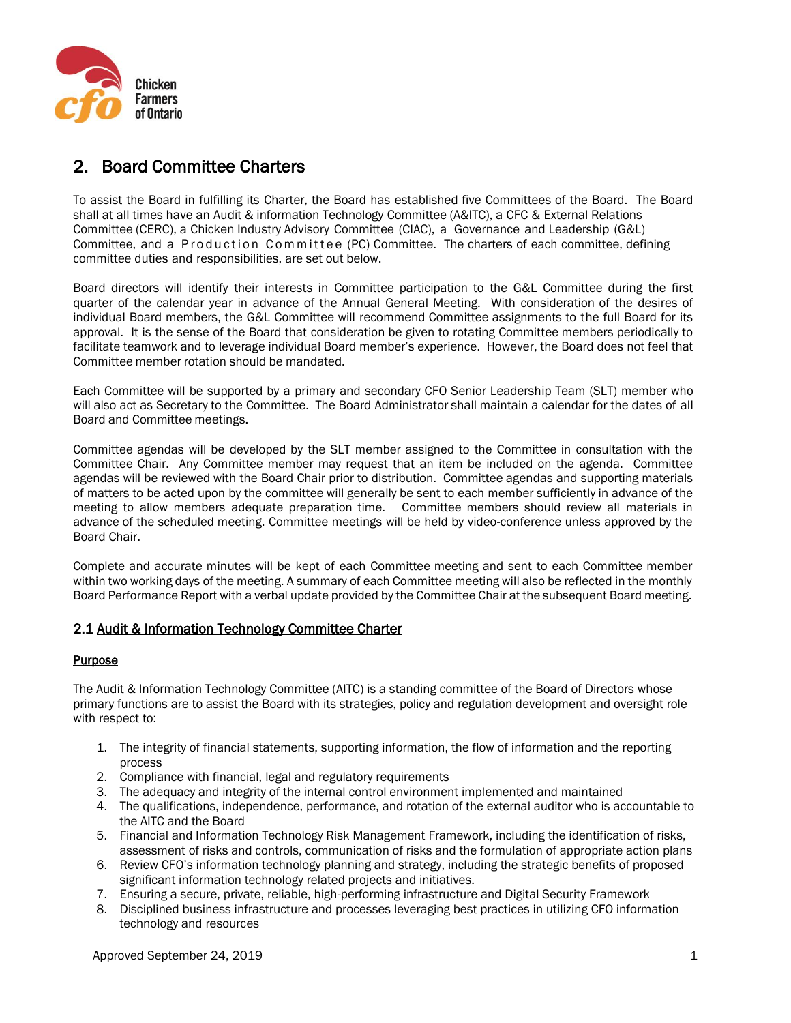

# 2. Board Committee Charters

To assist the Board in fulfilling its Charter, the Board has established five Committees of the Board. The Board shall at all times have an Audit & information Technology Committee (A&ITC), a CFC & External Relations Committee (CERC), a Chicken Industry Advisory Committee (CIAC), a Governance and Leadership (G&L) Committee, and a Production Committee (PC) Committee. The charters of each committee, defining committee duties and responsibilities, are set out below.

Board directors will identify their interests in Committee participation to the G&L Committee during the first quarter of the calendar year in advance of the Annual General Meeting. With consideration of the desires of individual Board members, the G&L Committee will recommend Committee assignments to the full Board for its approval. It is the sense of the Board that consideration be given to rotating Committee members periodically to facilitate teamwork and to leverage individual Board member's experience. However, the Board does not feel that Committee member rotation should be mandated.

Each Committee will be supported by a primary and secondary CFO Senior Leadership Team (SLT) member who will also act as Secretary to the Committee. The Board Administrator shall maintain a calendar for the dates of all Board and Committee meetings.

Committee agendas will be developed by the SLT member assigned to the Committee in consultation with the Committee Chair. Any Committee member may request that an item be included on the agenda. Committee agendas will be reviewed with the Board Chair prior to distribution. Committee agendas and supporting materials of matters to be acted upon by the committee will generally be sent to each member sufficiently in advance of the meeting to allow members adequate preparation time. Committee members should review all materials in advance of the scheduled meeting. Committee meetings will be held by video-conference unless approved by the Board Chair.

Complete and accurate minutes will be kept of each Committee meeting and sent to each Committee member within two working days of the meeting. A summary of each Committee meeting will also be reflected in the monthly Board Performance Report with a verbal update provided by the Committee Chair at the subsequent Board meeting.

# 2.1 Audit & Information Technology Committee Charter

#### **Purpose**

The Audit & Information Technology Committee (AITC) is a standing committee of the Board of Directors whose primary functions are to assist the Board with its strategies, policy and regulation development and oversight role with respect to:

- 1. The integrity of financial statements, supporting information, the flow of information and the reporting process
- 2. Compliance with financial, legal and regulatory requirements
- 3. The adequacy and integrity of the internal control environment implemented and maintained
- 4. The qualifications, independence, performance, and rotation of the external auditor who is accountable to the AITC and the Board
- 5. Financial and Information Technology Risk Management Framework, including the identification of risks, assessment of risks and controls, communication of risks and the formulation of appropriate action plans
- 6. Review CFO's information technology planning and strategy, including the strategic benefits of proposed significant information technology related projects and initiatives.
- 7. Ensuring a secure, private, reliable, high-performing infrastructure and Digital Security Framework
- 8. Disciplined business infrastructure and processes leveraging best practices in utilizing CFO information technology and resources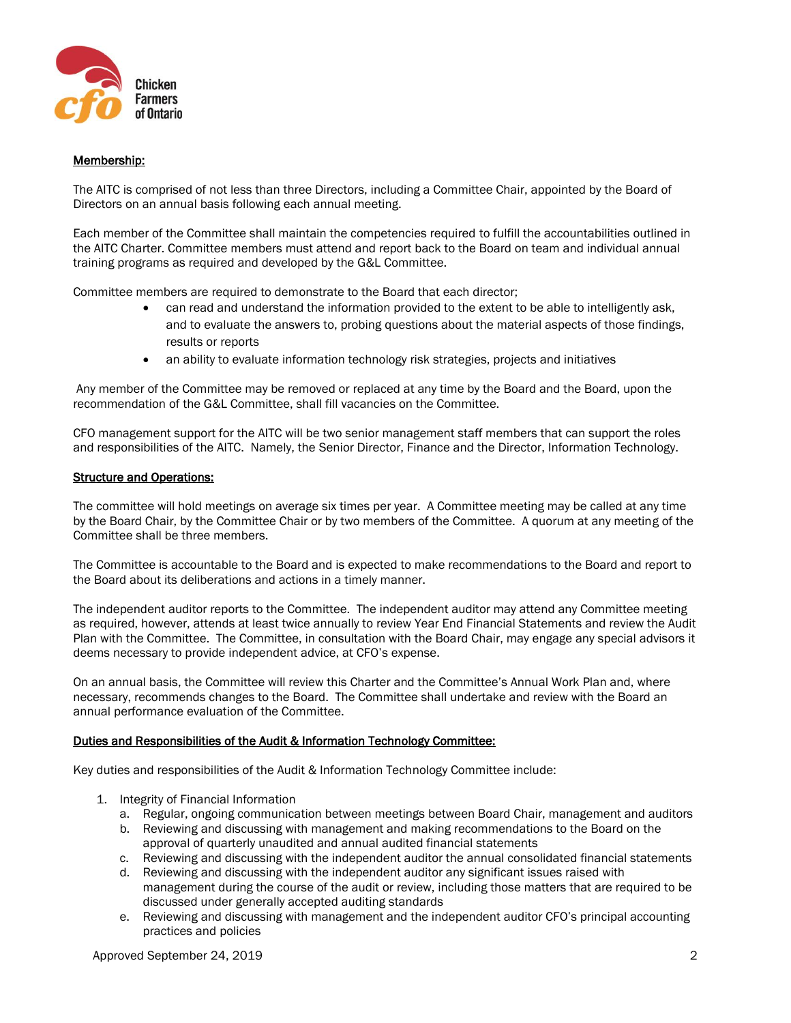

## Membership:

The AITC is comprised of not less than three Directors, including a Committee Chair, appointed by the Board of Directors on an annual basis following each annual meeting.

Each member of the Committee shall maintain the competencies required to fulfill the accountabilities outlined in the AITC Charter. Committee members must attend and report back to the Board on team and individual annual training programs as required and developed by the G&L Committee.

Committee members are required to demonstrate to the Board that each director;

- can read and understand the information provided to the extent to be able to intelligently ask, and to evaluate the answers to, probing questions about the material aspects of those findings, results or reports
- an ability to evaluate information technology risk strategies, projects and initiatives

Any member of the Committee may be removed or replaced at any time by the Board and the Board, upon the recommendation of the G&L Committee, shall fill vacancies on the Committee.

CFO management support for the AITC will be two senior management staff members that can support the roles and responsibilities of the AITC. Namely, the Senior Director, Finance and the Director, Information Technology.

#### Structure and Operations:

The committee will hold meetings on average six times per year. A Committee meeting may be called at any time by the Board Chair, by the Committee Chair or by two members of the Committee. A quorum at any meeting of the Committee shall be three members.

The Committee is accountable to the Board and is expected to make recommendations to the Board and report to the Board about its deliberations and actions in a timely manner.

The independent auditor reports to the Committee. The independent auditor may attend any Committee meeting as required, however, attends at least twice annually to review Year End Financial Statements and review the Audit Plan with the Committee. The Committee, in consultation with the Board Chair, may engage any special advisors it deems necessary to provide independent advice, at CFO's expense.

On an annual basis, the Committee will review this Charter and the Committee's Annual Work Plan and, where necessary, recommends changes to the Board. The Committee shall undertake and review with the Board an annual performance evaluation of the Committee.

#### Duties and Responsibilities of the Audit & Information Technology Committee:

Key duties and responsibilities of the Audit & Information Technology Committee include:

- 1. Integrity of Financial Information
	- a. Regular, ongoing communication between meetings between Board Chair, management and auditors
	- b. Reviewing and discussing with management and making recommendations to the Board on the approval of quarterly unaudited and annual audited financial statements
	- c. Reviewing and discussing with the independent auditor the annual consolidated financial statements
	- d. Reviewing and discussing with the independent auditor any significant issues raised with management during the course of the audit or review, including those matters that are required to be discussed under generally accepted auditing standards
	- e. Reviewing and discussing with management and the independent auditor CFO's principal accounting practices and policies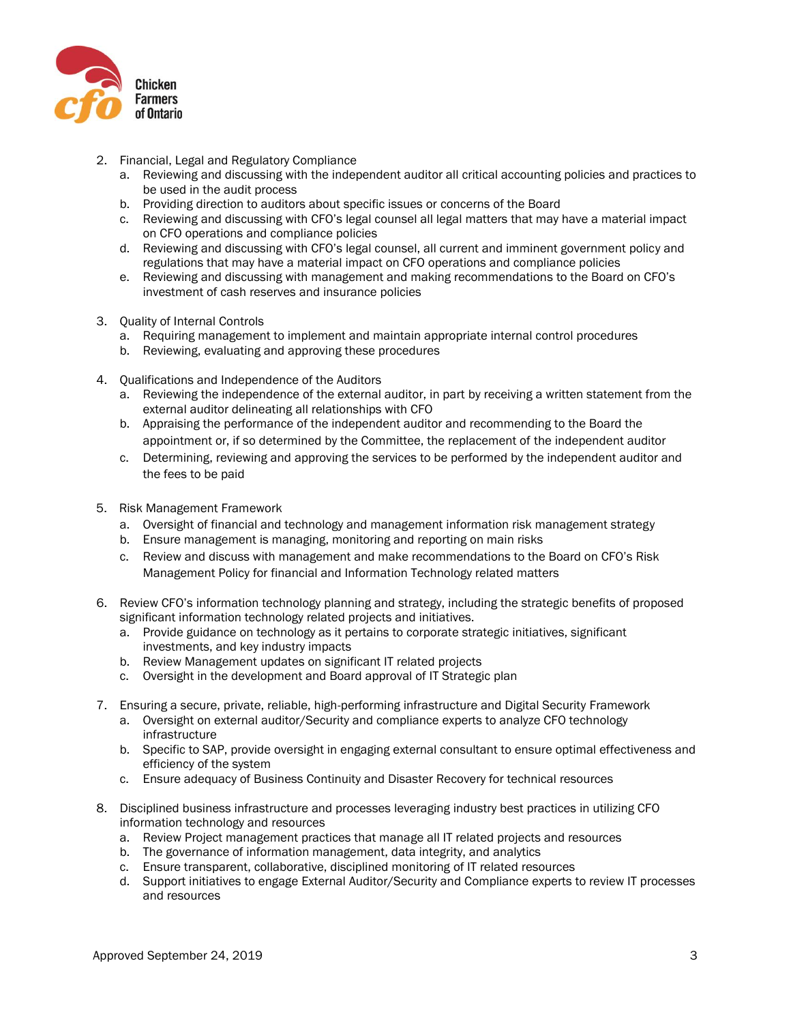

- 2. Financial, Legal and Regulatory Compliance
	- a. Reviewing and discussing with the independent auditor all critical accounting policies and practices to be used in the audit process
	- b. Providing direction to auditors about specific issues or concerns of the Board
	- c. Reviewing and discussing with CFO's legal counsel all legal matters that may have a material impact on CFO operations and compliance policies
	- d. Reviewing and discussing with CFO's legal counsel, all current and imminent government policy and regulations that may have a material impact on CFO operations and compliance policies
	- e. Reviewing and discussing with management and making recommendations to the Board on CFO's investment of cash reserves and insurance policies
- 3. Quality of Internal Controls
	- a. Requiring management to implement and maintain appropriate internal control procedures
	- b. Reviewing, evaluating and approving these procedures
- 4. Qualifications and Independence of the Auditors
	- a. Reviewing the independence of the external auditor, in part by receiving a written statement from the external auditor delineating all relationships with CFO
	- b. Appraising the performance of the independent auditor and recommending to the Board the appointment or, if so determined by the Committee, the replacement of the independent auditor
	- c. Determining, reviewing and approving the services to be performed by the independent auditor and the fees to be paid
- 5. Risk Management Framework
	- a. Oversight of financial and technology and management information risk management strategy
	- b. Ensure management is managing, monitoring and reporting on main risks
	- c. Review and discuss with management and make recommendations to the Board on CFO's Risk Management Policy for financial and Information Technology related matters
- 6. Review CFO's information technology planning and strategy, including the strategic benefits of proposed significant information technology related projects and initiatives.
	- a. Provide guidance on technology as it pertains to corporate strategic initiatives, significant investments, and key industry impacts
	- b. Review Management updates on significant IT related projects
	- c. Oversight in the development and Board approval of IT Strategic plan
- 7. Ensuring a secure, private, reliable, high-performing infrastructure and Digital Security Framework
	- a. Oversight on external auditor/Security and compliance experts to analyze CFO technology infrastructure
	- b. Specific to SAP, provide oversight in engaging external consultant to ensure optimal effectiveness and efficiency of the system
	- c. Ensure adequacy of Business Continuity and Disaster Recovery for technical resources
- 8. Disciplined business infrastructure and processes leveraging industry best practices in utilizing CFO information technology and resources
	- a. Review Project management practices that manage all IT related projects and resources
	- b. The governance of information management, data integrity, and analytics
	- c. Ensure transparent, collaborative, disciplined monitoring of IT related resources
	- d. Support initiatives to engage External Auditor/Security and Compliance experts to review IT processes and resources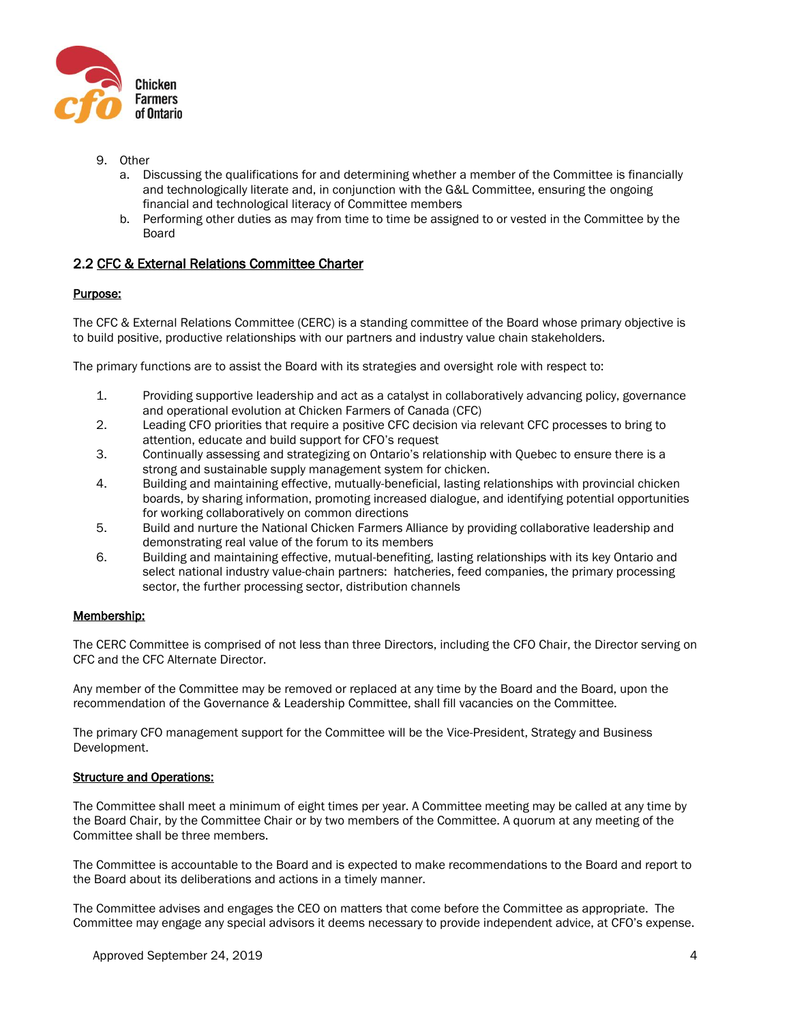

- 9. Other
	- a. Discussing the qualifications for and determining whether a member of the Committee is financially and technologically literate and, in conjunction with the G&L Committee, ensuring the ongoing financial and technological literacy of Committee members
	- b. Performing other duties as may from time to time be assigned to or vested in the Committee by the Board

# 2.2 CFC & External Relations Committee Charter

## Purpose:

The CFC & External Relations Committee (CERC) is a standing committee of the Board whose primary objective is to build positive, productive relationships with our partners and industry value chain stakeholders.

The primary functions are to assist the Board with its strategies and oversight role with respect to:

- 1. Providing supportive leadership and act as a catalyst in collaboratively advancing policy, governance and operational evolution at Chicken Farmers of Canada (CFC)
- 2. Leading CFO priorities that require a positive CFC decision via relevant CFC processes to bring to attention, educate and build support for CFO's request
- 3. Continually assessing and strategizing on Ontario's relationship with Quebec to ensure there is a strong and sustainable supply management system for chicken.
- 4. Building and maintaining effective, mutually-beneficial, lasting relationships with provincial chicken boards, by sharing information, promoting increased dialogue, and identifying potential opportunities for working collaboratively on common directions
- 5. Build and nurture the National Chicken Farmers Alliance by providing collaborative leadership and demonstrating real value of the forum to its members
- 6. Building and maintaining effective, mutual-benefiting, lasting relationships with its key Ontario and select national industry value-chain partners: hatcheries, feed companies, the primary processing sector, the further processing sector, distribution channels

#### Membership:

The CERC Committee is comprised of not less than three Directors, including the CFO Chair, the Director serving on CFC and the CFC Alternate Director.

Any member of the Committee may be removed or replaced at any time by the Board and the Board, upon the recommendation of the Governance & Leadership Committee, shall fill vacancies on the Committee.

The primary CFO management support for the Committee will be the Vice-President, Strategy and Business Development.

#### Structure and Operations:

The Committee shall meet a minimum of eight times per year. A Committee meeting may be called at any time by the Board Chair, by the Committee Chair or by two members of the Committee. A quorum at any meeting of the Committee shall be three members.

The Committee is accountable to the Board and is expected to make recommendations to the Board and report to the Board about its deliberations and actions in a timely manner.

The Committee advises and engages the CEO on matters that come before the Committee as appropriate. The Committee may engage any special advisors it deems necessary to provide independent advice, at CFO's expense.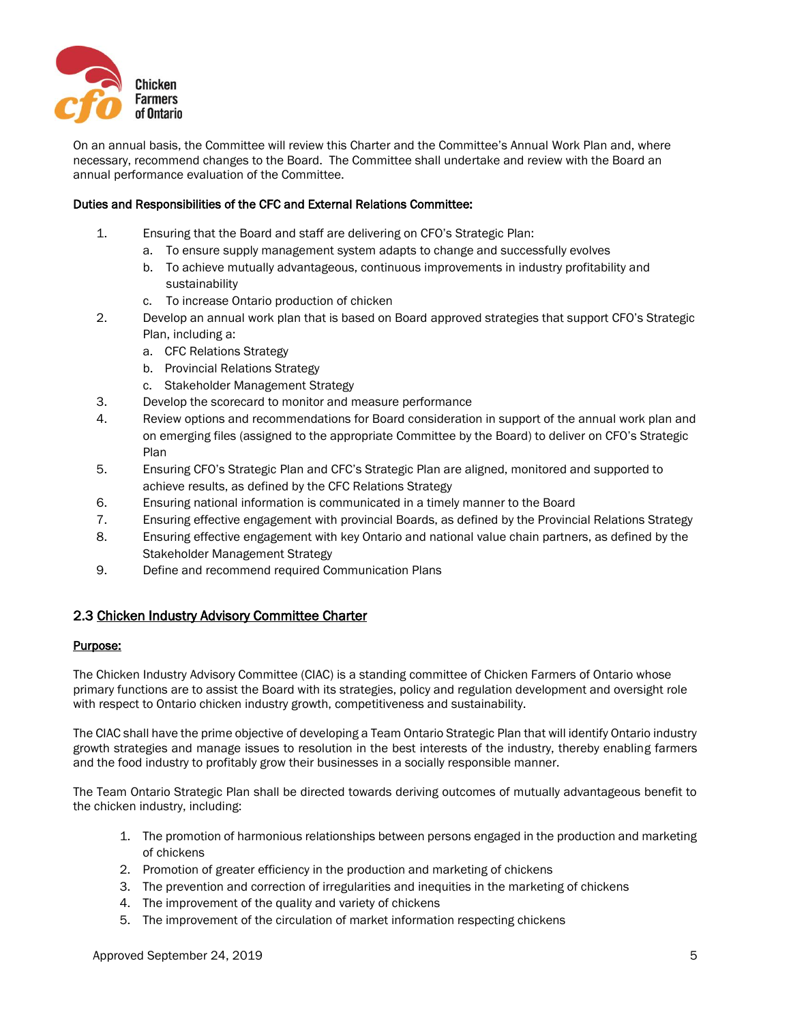

On an annual basis, the Committee will review this Charter and the Committee's Annual Work Plan and, where necessary, recommend changes to the Board. The Committee shall undertake and review with the Board an annual performance evaluation of the Committee.

#### Duties and Responsibilities of the CFC and External Relations Committee:

- 1. Ensuring that the Board and staff are delivering on CFO's Strategic Plan:
	- a. To ensure supply management system adapts to change and successfully evolves
	- b. To achieve mutually advantageous, continuous improvements in industry profitability and sustainability
	- c. To increase Ontario production of chicken
- 2. Develop an annual work plan that is based on Board approved strategies that support CFO's Strategic Plan, including a:
	- a. CFC Relations Strategy
	- b. Provincial Relations Strategy
	- c. Stakeholder Management Strategy
- 3. Develop the scorecard to monitor and measure performance
- 4. Review options and recommendations for Board consideration in support of the annual work plan and on emerging files (assigned to the appropriate Committee by the Board) to deliver on CFO's Strategic Plan
- 5. Ensuring CFO's Strategic Plan and CFC's Strategic Plan are aligned, monitored and supported to achieve results, as defined by the CFC Relations Strategy
- 6. Ensuring national information is communicated in a timely manner to the Board
- 7. Ensuring effective engagement with provincial Boards, as defined by the Provincial Relations Strategy
- 8. Ensuring effective engagement with key Ontario and national value chain partners, as defined by the Stakeholder Management Strategy
- 9. Define and recommend required Communication Plans

# 2.3 Chicken Industry Advisory Committee Charter

#### Purpose:

The Chicken Industry Advisory Committee (CIAC) is a standing committee of Chicken Farmers of Ontario whose primary functions are to assist the Board with its strategies, policy and regulation development and oversight role with respect to Ontario chicken industry growth, competitiveness and sustainability.

The CIAC shall have the prime objective of developing a Team Ontario Strategic Plan that will identify Ontario industry growth strategies and manage issues to resolution in the best interests of the industry, thereby enabling farmers and the food industry to profitably grow their businesses in a socially responsible manner.

The Team Ontario Strategic Plan shall be directed towards deriving outcomes of mutually advantageous benefit to the chicken industry, including:

- 1. The promotion of harmonious relationships between persons engaged in the production and marketing of chickens
- 2. Promotion of greater efficiency in the production and marketing of chickens
- 3. The prevention and correction of irregularities and inequities in the marketing of chickens
- 4. The improvement of the quality and variety of chickens
- 5. The improvement of the circulation of market information respecting chickens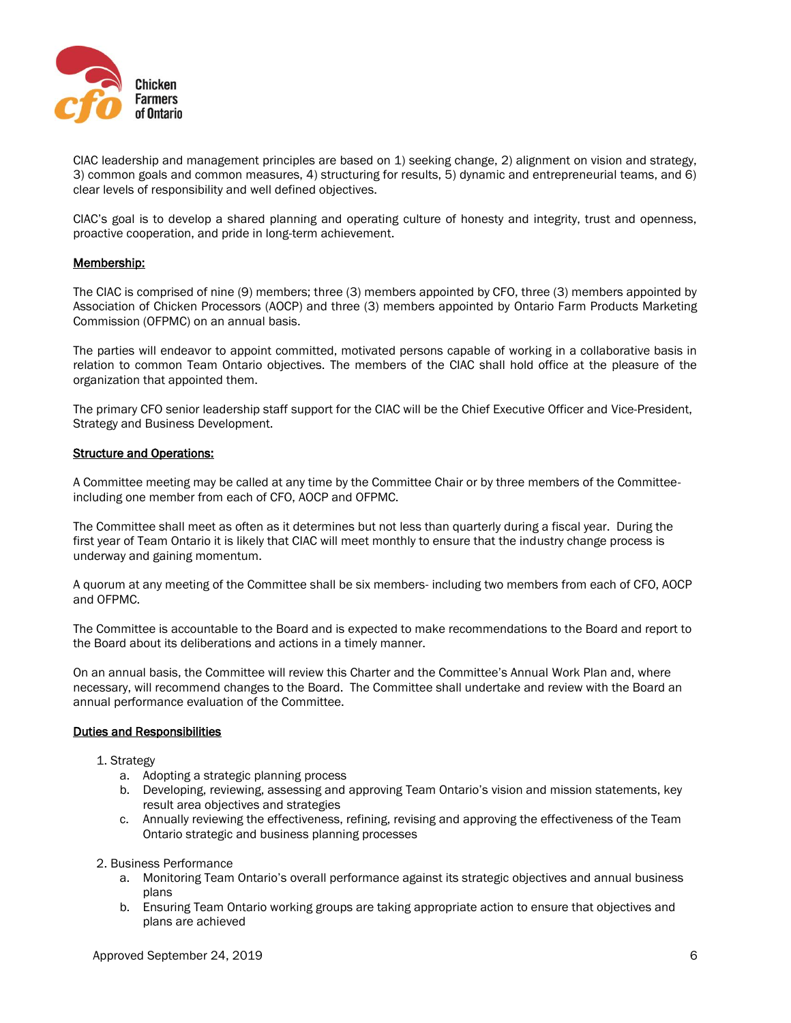

CIAC leadership and management principles are based on 1) seeking change, 2) alignment on vision and strategy, 3) common goals and common measures, 4) structuring for results, 5) dynamic and entrepreneurial teams, and 6) clear levels of responsibility and well defined objectives.

CIAC's goal is to develop a shared planning and operating culture of honesty and integrity, trust and openness, proactive cooperation, and pride in long-term achievement.

### Membership:

The CIAC is comprised of nine (9) members; three (3) members appointed by CFO, three (3) members appointed by Association of Chicken Processors (AOCP) and three (3) members appointed by Ontario Farm Products Marketing Commission (OFPMC) on an annual basis.

The parties will endeavor to appoint committed, motivated persons capable of working in a collaborative basis in relation to common Team Ontario objectives. The members of the CIAC shall hold office at the pleasure of the organization that appointed them.

The primary CFO senior leadership staff support for the CIAC will be the Chief Executive Officer and Vice-President, Strategy and Business Development.

#### Structure and Operations:

A Committee meeting may be called at any time by the Committee Chair or by three members of the Committeeincluding one member from each of CFO, AOCP and OFPMC.

The Committee shall meet as often as it determines but not less than quarterly during a fiscal year. During the first year of Team Ontario it is likely that CIAC will meet monthly to ensure that the industry change process is underway and gaining momentum.

A quorum at any meeting of the Committee shall be six members- including two members from each of CFO, AOCP and OFPMC.

The Committee is accountable to the Board and is expected to make recommendations to the Board and report to the Board about its deliberations and actions in a timely manner.

On an annual basis, the Committee will review this Charter and the Committee's Annual Work Plan and, where necessary, will recommend changes to the Board. The Committee shall undertake and review with the Board an annual performance evaluation of the Committee.

#### Duties and Responsibilities

- 1. Strategy
	- a. Adopting a strategic planning process
	- b. Developing, reviewing, assessing and approving Team Ontario's vision and mission statements, key result area objectives and strategies
	- c. Annually reviewing the effectiveness, refining, revising and approving the effectiveness of the Team Ontario strategic and business planning processes

#### 2. Business Performance

- a. Monitoring Team Ontario's overall performance against its strategic objectives and annual business plans
- b. Ensuring Team Ontario working groups are taking appropriate action to ensure that objectives and plans are achieved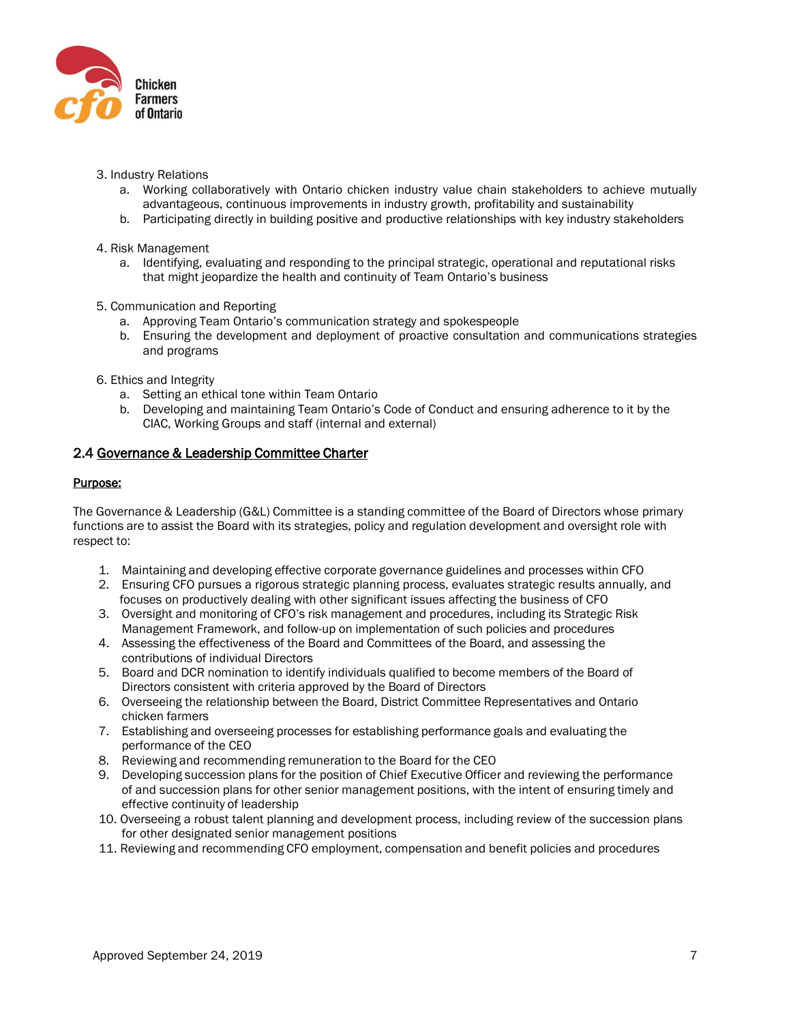

- 3. Industry Relations
	- a. Working collaboratively with Ontario chicken industry value chain stakeholders to achieve mutually advantageous, continuous improvements in industry growth, profitability and sustainability
	- b. Participating directly in building positive and productive relationships with key industry stakeholders
- 4. Risk Management
	- a. Identifying, evaluating and responding to the principal strategic, operational and reputational risks that might jeopardize the health and continuity of Team Ontario's business
- 5. Communication and Reporting
	- a. Approving Team Ontario's communication strategy and spokespeople
	- b. Ensuring the development and deployment of proactive consultation and communications strategies and programs
- 6. Ethics and Integrity
	- a. Setting an ethical tone within Team Ontario
	- b. Developing and maintaining Team Ontario's Code of Conduct and ensuring adherence to it by the CIAC, Working Groups and staff (internal and external)

## 2.4 Governance & Leadership Committee Charter

## Purpose:

The Governance & Leadership (G&L) Committee is a standing committee of the Board of Directors whose primary functions are to assist the Board with its strategies, policy and regulation development and oversight role with respect to:

- 1. Maintaining and developing effective corporate governance guidelines and processes within CFO
- 2. Ensuring CFO pursues a rigorous strategic planning process, evaluates strategic results annually, and focuses on productively dealing with other significant issues affecting the business of CFO
- 3. Oversight and monitoring of CFO's risk management and procedures, including its Strategic Risk Management Framework, and follow-up on implementation of such policies and procedures
- 4. Assessing the effectiveness of the Board and Committees of the Board, and assessing the contributions of individual Directors
- 5. Board and DCR nomination to identify individuals qualified to become members of the Board of Directors consistent with criteria approved by the Board of Directors
- 6. Overseeing the relationship between the Board, District Committee Representatives and Ontario chicken farmers
- 7. Establishing and overseeing processes for establishing performance goals and evaluating the performance of the CEO
- 8. Reviewing and recommending remuneration to the Board for the CEO
- 9. Developing succession plans for the position of Chief Executive Officer and reviewing the performance of and succession plans for other senior management positions, with the intent of ensuring timely and effective continuity of leadership
- 10. Overseeing a robust talent planning and development process, including review of the succession plans for other designated senior management positions
- 11. Reviewing and recommending CFO employment, compensation and benefit policies and procedures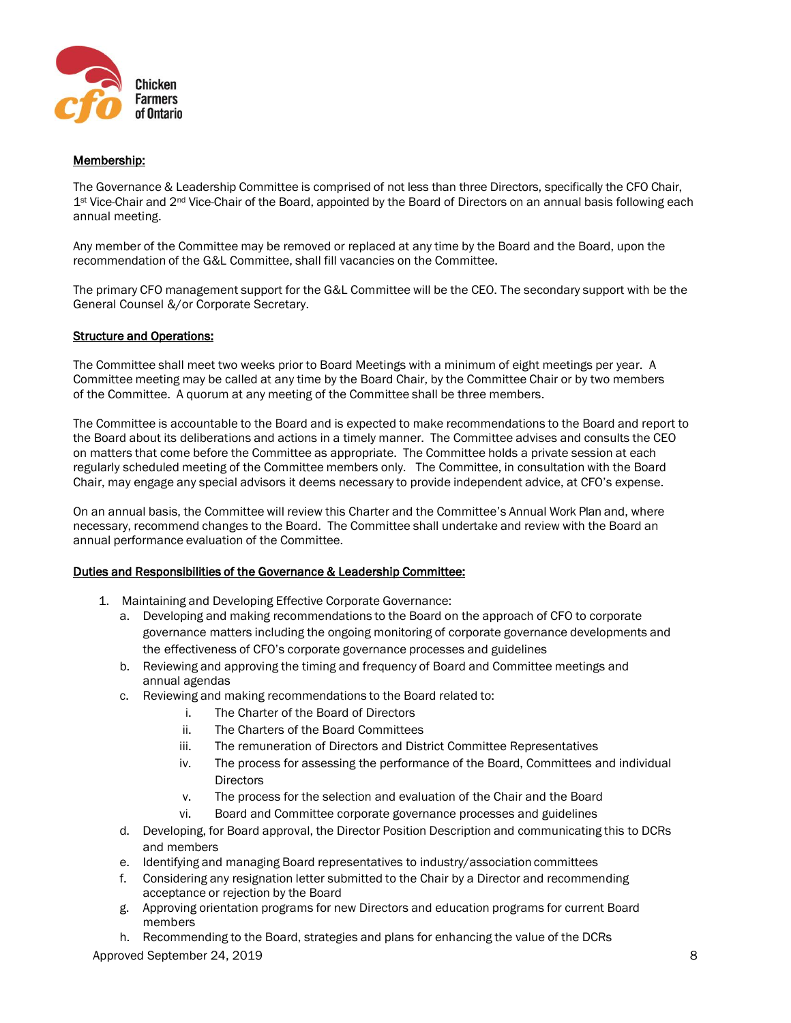

## Membership:

The Governance & Leadership Committee is comprised of not less than three Directors, specifically the CFO Chair, 1<sup>st</sup> Vice-Chair and 2<sup>nd</sup> Vice-Chair of the Board, appointed by the Board of Directors on an annual basis following each annual meeting.

Any member of the Committee may be removed or replaced at any time by the Board and the Board, upon the recommendation of the G&L Committee, shall fill vacancies on the Committee.

The primary CFO management support for the G&L Committee will be the CEO. The secondary support with be the General Counsel &/or Corporate Secretary.

#### Structure and Operations:

The Committee shall meet two weeks prior to Board Meetings with a minimum of eight meetings per year. A Committee meeting may be called at any time by the Board Chair, by the Committee Chair or by two members of the Committee. A quorum at any meeting of the Committee shall be three members.

The Committee is accountable to the Board and is expected to make recommendations to the Board and report to the Board about its deliberations and actions in a timely manner. The Committee advises and consults the CEO on matters that come before the Committee as appropriate. The Committee holds a private session at each regularly scheduled meeting of the Committee members only. The Committee, in consultation with the Board Chair, may engage any special advisors it deems necessary to provide independent advice, at CFO's expense.

On an annual basis, the Committee will review this Charter and the Committee's Annual Work Plan and, where necessary, recommend changes to the Board. The Committee shall undertake and review with the Board an annual performance evaluation of the Committee.

#### Duties and Responsibilities of the Governance & Leadership Committee:

- 1. Maintaining and Developing Effective Corporate Governance:
	- a. Developing and making recommendations to the Board on the approach of CFO to corporate governance matters including the ongoing monitoring of corporate governance developments and the effectiveness of CFO's corporate governance processes and guidelines
	- b. Reviewing and approving the timing and frequency of Board and Committee meetings and annual agendas
	- c. Reviewing and making recommendations to the Board related to:
		- i. The Charter of the Board of Directors
		- ii. The Charters of the Board Committees
		- iii. The remuneration of Directors and District Committee Representatives
		- iv. The process for assessing the performance of the Board, Committees and individual **Directors**
		- v. The process for the selection and evaluation of the Chair and the Board
		- vi. Board and Committee corporate governance processes and guidelines
	- d. Developing, for Board approval, the Director Position Description and communicating this to DCRs and members
	- e. Identifying and managing Board representatives to industry/association committees
	- f. Considering any resignation letter submitted to the Chair by a Director and recommending acceptance or rejection by the Board
	- g. Approving orientation programs for new Directors and education programs for current Board members
	- h. Recommending to the Board, strategies and plans for enhancing the value of the DCRs

Approved September 24, 2019 **8** 8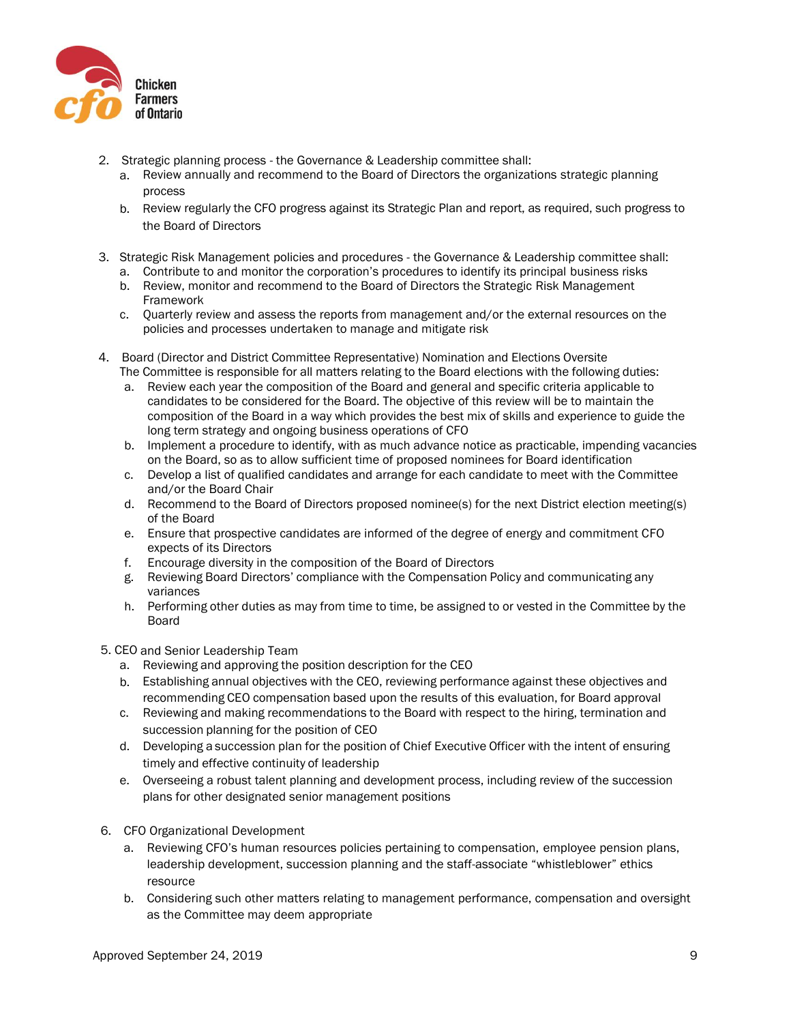

- 2. Strategic planning process the Governance & Leadership committee shall:
	- a. Review annually and recommend to the Board of Directors the organizations strategic planning process
	- b. Review regularly the CFO progress against its Strategic Plan and report, as required, such progress to the Board of Directors
- 3. Strategic Risk Management policies and procedures the Governance & Leadership committee shall: a. Contribute to and monitor the corporation's procedures to identify its principal business risks
	- b. Review, monitor and recommend to the Board of Directors the Strategic Risk Management Framework
	- c. Quarterly review and assess the reports from management and/or the external resources on the policies and processes undertaken to manage and mitigate risk
- 4. Board (Director and District Committee Representative) Nomination and Elections Oversite The Committee is responsible for all matters relating to the Board elections with the following duties:
	- a. Review each year the composition of the Board and general and specific criteria applicable to candidates to be considered for the Board. The objective of this review will be to maintain the composition of the Board in a way which provides the best mix of skills and experience to guide the long term strategy and ongoing business operations of CFO
	- b. Implement a procedure to identify, with as much advance notice as practicable, impending vacancies on the Board, so as to allow sufficient time of proposed nominees for Board identification
	- c. Develop a list of qualified candidates and arrange for each candidate to meet with the Committee and/or the Board Chair
	- d. Recommend to the Board of Directors proposed nominee(s) for the next District election meeting(s) of the Board
	- e. Ensure that prospective candidates are informed of the degree of energy and commitment CFO expects of its Directors
	- f. Encourage diversity in the composition of the Board of Directors
	- g. Reviewing Board Directors' compliance with the Compensation Policy and communicating any variances
	- h. Performing other duties as may from time to time, be assigned to or vested in the Committee by the Board
- 5. CEO and Senior Leadership Team
	- a. Reviewing and approving the position description for the CEO
	- b. Establishing annual objectives with the CEO, reviewing performance against these objectives and recommending CEO compensation based upon the results of this evaluation, for Board approval
	- c. Reviewing and making recommendations to the Board with respect to the hiring, termination and succession planning for the position of CEO
	- d. Developing a succession plan for the position of Chief Executive Officer with the intent of ensuring timely and effective continuity of leadership
	- e. Overseeing a robust talent planning and development process, including review of the succession plans for other designated senior management positions
- 6. CFO Organizational Development
	- a. Reviewing CFO's human resources policies pertaining to compensation, employee pension plans, leadership development, succession planning and the staff-associate "whistleblower" ethics resource
	- b. Considering such other matters relating to management performance, compensation and oversight as the Committee may deem appropriate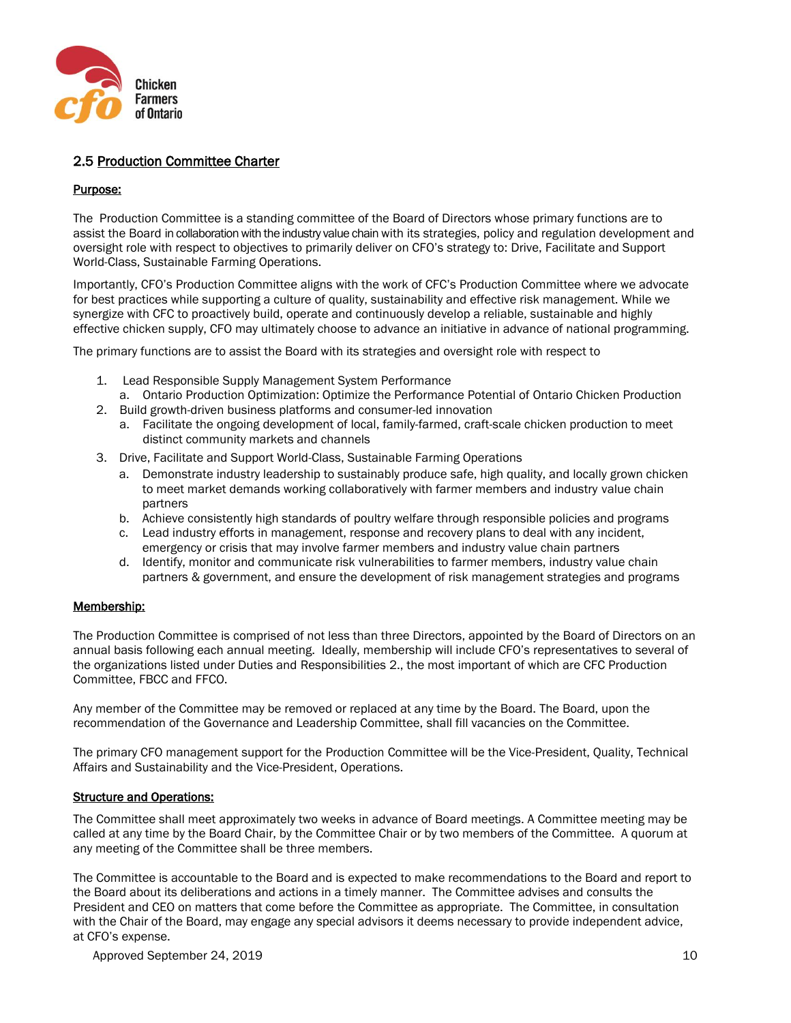

# 2.5 Production Committee Charter

#### Purpose:

The Production Committee is a standing committee of the Board of Directors whose primary functions are to assist the Board in collaboration with the industry value chain with its strategies, policy and regulation development and oversight role with respect to objectives to primarily deliver on CFO's strategy to: Drive, Facilitate and Support World-Class, Sustainable Farming Operations.

Importantly, CFO's Production Committee aligns with the work of CFC's Production Committee where we advocate for best practices while supporting a culture of quality, sustainability and effective risk management. While we synergize with CFC to proactively build, operate and continuously develop a reliable, sustainable and highly effective chicken supply, CFO may ultimately choose to advance an initiative in advance of national programming.

The primary functions are to assist the Board with its strategies and oversight role with respect to

- 1. Lead Responsible Supply Management System Performance
- a. Ontario Production Optimization: Optimize the Performance Potential of Ontario Chicken Production 2. Build growth-driven business platforms and consumer-led innovation
	- a. Facilitate the ongoing development of local, family-farmed, craft-scale chicken production to meet distinct community markets and channels
- 3. Drive, Facilitate and Support World-Class, Sustainable Farming Operations
	- a. Demonstrate industry leadership to sustainably produce safe, high quality, and locally grown chicken to meet market demands working collaboratively with farmer members and industry value chain partners
	- b. Achieve consistently high standards of poultry welfare through responsible policies and programs
	- c. Lead industry efforts in management, response and recovery plans to deal with any incident, emergency or crisis that may involve farmer members and industry value chain partners
	- d. Identify, monitor and communicate risk vulnerabilities to farmer members, industry value chain partners & government, and ensure the development of risk management strategies and programs

# Membership:

The Production Committee is comprised of not less than three Directors, appointed by the Board of Directors on an annual basis following each annual meeting. Ideally, membership will include CFO's representatives to several of the organizations listed under Duties and Responsibilities 2., the most important of which are CFC Production Committee, FBCC and FFCO.

Any member of the Committee may be removed or replaced at any time by the Board. The Board, upon the recommendation of the Governance and Leadership Committee, shall fill vacancies on the Committee.

The primary CFO management support for the Production Committee will be the Vice-President, Quality, Technical Affairs and Sustainability and the Vice-President, Operations.

#### Structure and Operations:

The Committee shall meet approximately two weeks in advance of Board meetings. A Committee meeting may be called at any time by the Board Chair, by the Committee Chair or by two members of the Committee. A quorum at any meeting of the Committee shall be three members.

The Committee is accountable to the Board and is expected to make recommendations to the Board and report to the Board about its deliberations and actions in a timely manner. The Committee advises and consults the President and CEO on matters that come before the Committee as appropriate. The Committee, in consultation with the Chair of the Board, may engage any special advisors it deems necessary to provide independent advice, at CFO's expense.

Approved September 24, 2019 10